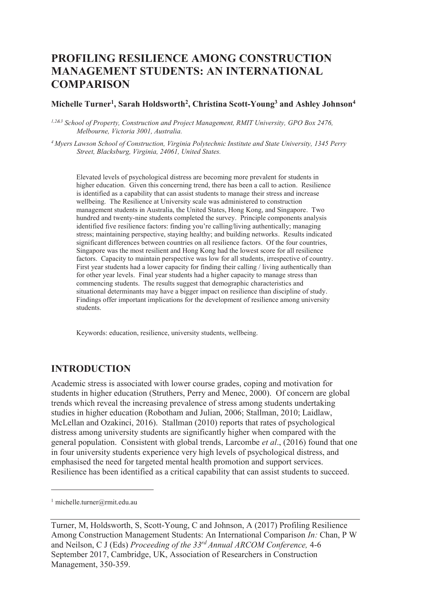# **PROFILING RESILIENCE AMONG CONSTRUCTION MANAGEMENT STUDENTS: AN INTERNATIONAL COMPARISON**

#### **Michelle Turner<sup>1</sup> , Sarah Holdsworth<sup>2</sup> , Christina Scott-Young<sup>3</sup> and Ashley Johnson<sup>4</sup>**

*1,2&3 School of Property, Construction and Project Management, RMIT University, GPO Box 2476, Melbourne, Victoria 3001, Australia.* 

*<sup>4</sup>Myers Lawson School of Construction, Virginia Polytechnic Institute and State University, 1345 Perry Street, Blacksburg, Virginia, 24061, United States.*

Elevated levels of psychological distress are becoming more prevalent for students in higher education. Given this concerning trend, there has been a call to action. Resilience is identified as a capability that can assist students to manage their stress and increase wellbeing. The Resilience at University scale was administered to construction management students in Australia, the United States, Hong Kong, and Singapore. Two hundred and twenty-nine students completed the survey. Principle components analysis identified five resilience factors: finding you're calling/living authentically; managing stress; maintaining perspective, staying healthy; and building networks. Results indicated significant differences between countries on all resilience factors. Of the four countries, Singapore was the most resilient and Hong Kong had the lowest score for all resilience factors. Capacity to maintain perspective was low for all students, irrespective of country. First year students had a lower capacity for finding their calling / living authentically than for other year levels. Final year students had a higher capacity to manage stress than commencing students. The results suggest that demographic characteristics and situational determinants may have a bigger impact on resilience than discipline of study. Findings offer important implications for the development of resilience among university students.

Keywords: education, resilience, university students, wellbeing.

### **INTRODUCTION**

Academic stress is associated with lower course grades, coping and motivation for students in higher education (Struthers, Perry and Menec, 2000). Of concern are global trends which reveal the increasing prevalence of stress among students undertaking studies in higher education (Robotham and Julian, 2006; Stallman, 2010; Laidlaw, McLellan and Ozakinci, 2016). Stallman (2010) reports that rates of psychological distress among university students are significantly higher when compared with the general population. Consistent with global trends, Larcombe *et al*., (2016) found that one in four university students experience very high levels of psychological distress, and emphasised the need for targeted mental health promotion and support services. Resilience has been identified as a critical capability that can assist students to succeed.

 $\overline{a}$ 

<sup>1</sup> michelle.turner@rmit.edu.au

Turner, M, Holdsworth, S, Scott-Young, C and Johnson, A (2017) Profiling Resilience Among Construction Management Students: An International Comparison *In:* Chan, P W and Neilson, C J (Eds) *Proceeding of the 33rd Annual ARCOM Conference,* 4-6 September 2017, Cambridge, UK, Association of Researchers in Construction Management, 350-359.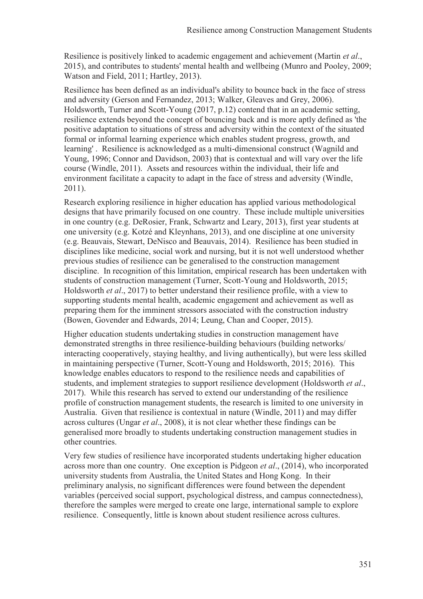Resilience is positively linked to academic engagement and achievement (Martin *et al*., 2015), and contributes to students' mental health and wellbeing (Munro and Pooley, 2009; Watson and Field, 2011; Hartley, 2013).

Resilience has been defined as an individual's ability to bounce back in the face of stress and adversity (Gerson and Fernandez, 2013; Walker, Gleaves and Grey, 2006). Holdsworth, Turner and Scott-Young (2017, p.12) contend that in an academic setting, resilience extends beyond the concept of bouncing back and is more aptly defined as 'the positive adaptation to situations of stress and adversity within the context of the situated formal or informal learning experience which enables student progress, growth, and learning' . Resilience is acknowledged as a multi-dimensional construct (Wagnild and Young, 1996; Connor and Davidson, 2003) that is contextual and will vary over the life course (Windle, 2011). Assets and resources within the individual, their life and environment facilitate a capacity to adapt in the face of stress and adversity (Windle, 2011).

Research exploring resilience in higher education has applied various methodological designs that have primarily focused on one country. These include multiple universities in one country (e.g. DeRosier, Frank, Schwartz and Leary, 2013), first year students at one university (e.g. Kotzé and Kleynhans, 2013), and one discipline at one university (e.g. Beauvais, Stewart, DeNisco and Beauvais, 2014). Resilience has been studied in disciplines like medicine, social work and nursing, but it is not well understood whether previous studies of resilience can be generalised to the construction management discipline. In recognition of this limitation, empirical research has been undertaken with students of construction management (Turner, Scott-Young and Holdsworth, 2015; Holdsworth *et al*., 2017) to better understand their resilience profile, with a view to supporting students mental health, academic engagement and achievement as well as preparing them for the imminent stressors associated with the construction industry (Bowen, Govender and Edwards, 2014; Leung, Chan and Cooper, 2015).

Higher education students undertaking studies in construction management have demonstrated strengths in three resilience-building behaviours (building networks/ interacting cooperatively, staying healthy, and living authentically), but were less skilled in maintaining perspective (Turner, Scott-Young and Holdsworth, 2015; 2016). This knowledge enables educators to respond to the resilience needs and capabilities of students, and implement strategies to support resilience development (Holdsworth *et al*., 2017). While this research has served to extend our understanding of the resilience profile of construction management students, the research is limited to one university in Australia. Given that resilience is contextual in nature (Windle, 2011) and may differ across cultures (Ungar *et al*., 2008), it is not clear whether these findings can be generalised more broadly to students undertaking construction management studies in other countries.

Very few studies of resilience have incorporated students undertaking higher education across more than one country. One exception is Pidgeon *et al*., (2014), who incorporated university students from Australia, the United States and Hong Kong. In their preliminary analysis, no significant differences were found between the dependent variables (perceived social support, psychological distress, and campus connectedness), therefore the samples were merged to create one large, international sample to explore resilience. Consequently, little is known about student resilience across cultures.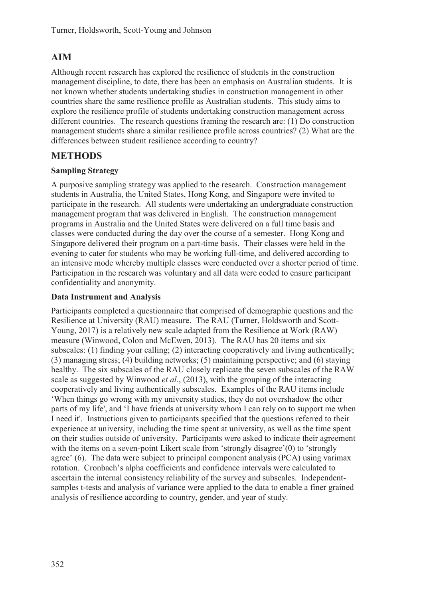## **AIM**

Although recent research has explored the resilience of students in the construction management discipline, to date, there has been an emphasis on Australian students. It is not known whether students undertaking studies in construction management in other countries share the same resilience profile as Australian students. This study aims to explore the resilience profile of students undertaking construction management across different countries. The research questions framing the research are: (1) Do construction management students share a similar resilience profile across countries? (2) What are the differences between student resilience according to country?

## **METHODS**

### **Sampling Strategy**

A purposive sampling strategy was applied to the research. Construction management students in Australia, the United States, Hong Kong, and Singapore were invited to participate in the research. All students were undertaking an undergraduate construction management program that was delivered in English. The construction management programs in Australia and the United States were delivered on a full time basis and classes were conducted during the day over the course of a semester. Hong Kong and Singapore delivered their program on a part-time basis. Their classes were held in the evening to cater for students who may be working full-time, and delivered according to an intensive mode whereby multiple classes were conducted over a shorter period of time. Participation in the research was voluntary and all data were coded to ensure participant confidentiality and anonymity.

### **Data Instrument and Analysis**

Participants completed a questionnaire that comprised of demographic questions and the Resilience at University (RAU) measure. The RAU (Turner, Holdsworth and Scott-Young, 2017) is a relatively new scale adapted from the Resilience at Work (RAW) measure (Winwood, Colon and McEwen, 2013). The RAU has 20 items and six subscales: (1) finding your calling; (2) interacting cooperatively and living authentically; (3) managing stress; (4) building networks; (5) maintaining perspective; and (6) staying healthy. The six subscales of the RAU closely replicate the seven subscales of the RAW scale as suggested by Winwood *et al*., (2013), with the grouping of the interacting cooperatively and living authentically subscales. Examples of the RAU items include 'When things go wrong with my university studies, they do not overshadow the other parts of my life', and 'I have friends at university whom I can rely on to support me when I need it'. Instructions given to participants specified that the questions referred to their experience at university, including the time spent at university, as well as the time spent on their studies outside of university. Participants were asked to indicate their agreement with the items on a seven-point Likert scale from 'strongly disagree'(0) to 'strongly agree' (6). The data were subject to principal component analysis (PCA) using varimax rotation. Cronbach's alpha coefficients and confidence intervals were calculated to ascertain the internal consistency reliability of the survey and subscales. Independentsamples t-tests and analysis of variance were applied to the data to enable a finer grained analysis of resilience according to country, gender, and year of study.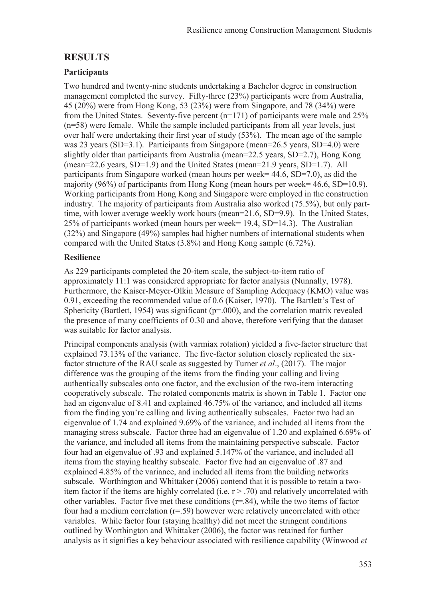### **RESULTS**

### **Participants**

Two hundred and twenty-nine students undertaking a Bachelor degree in construction management completed the survey. Fifty-three (23%) participants were from Australia, 45 (20%) were from Hong Kong, 53 (23%) were from Singapore, and 78 (34%) were from the United States. Seventy-five percent (n=171) of participants were male and 25% (n=58) were female. While the sample included participants from all year levels, just over half were undertaking their first year of study (53%). The mean age of the sample was 23 years (SD=3.1). Participants from Singapore (mean=26.5 years, SD=4.0) were slightly older than participants from Australia (mean=22.5 years, SD=2.7), Hong Kong (mean=22.6 years, SD=1.9) and the United States (mean=21.9 years, SD=1.7). All participants from Singapore worked (mean hours per week= 44.6, SD=7.0), as did the majority (96%) of participants from Hong Kong (mean hours per week= 46.6, SD=10.9). Working participants from Hong Kong and Singapore were employed in the construction industry. The majority of participants from Australia also worked (75.5%), but only parttime, with lower average weekly work hours (mean=21.6, SD=9.9). In the United States, 25% of participants worked (mean hours per week= 19.4, SD=14.3). The Australian (32%) and Singapore (49%) samples had higher numbers of international students when compared with the United States (3.8%) and Hong Kong sample (6.72%).

### **Resilience**

As 229 participants completed the 20-item scale, the subject-to-item ratio of approximately 11:1 was considered appropriate for factor analysis (Nunnally, 1978). Furthermore, the Kaiser-Meyer-Olkin Measure of Sampling Adequacy (KMO) value was 0.91, exceeding the recommended value of 0.6 (Kaiser, 1970). The Bartlett's Test of Sphericity (Bartlett, 1954) was significant (p=.000), and the correlation matrix revealed the presence of many coefficients of 0.30 and above, therefore verifying that the dataset was suitable for factor analysis.

Principal components analysis (with varmiax rotation) yielded a five-factor structure that explained 73.13% of the variance. The five-factor solution closely replicated the sixfactor structure of the RAU scale as suggested by Turner *et al*., (2017). The major difference was the grouping of the items from the finding your calling and living authentically subscales onto one factor, and the exclusion of the two-item interacting cooperatively subscale. The rotated components matrix is shown in Table 1. Factor one had an eigenvalue of 8.41 and explained 46.75% of the variance, and included all items from the finding you're calling and living authentically subscales. Factor two had an eigenvalue of 1.74 and explained 9.69% of the variance, and included all items from the managing stress subscale. Factor three had an eigenvalue of 1.20 and explained 6.69% of the variance, and included all items from the maintaining perspective subscale. Factor four had an eigenvalue of .93 and explained 5.147% of the variance, and included all items from the staying healthy subscale. Factor five had an eigenvalue of .87 and explained 4.85% of the variance, and included all items from the building networks subscale. Worthington and Whittaker (2006) contend that it is possible to retain a twoitem factor if the items are highly correlated (i.e.  $r > .70$ ) and relatively uncorrelated with other variables. Factor five met these conditions  $(r=.84)$ , while the two items of factor four had a medium correlation (r=.59) however were relatively uncorrelated with other variables. While factor four (staying healthy) did not meet the stringent conditions outlined by Worthington and Whittaker (2006), the factor was retained for further analysis as it signifies a key behaviour associated with resilience capability (Winwood *et*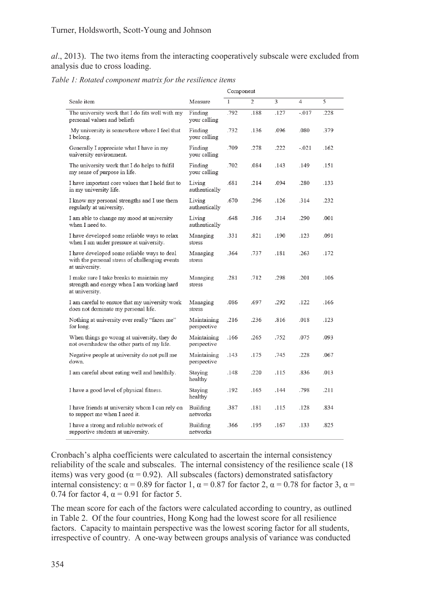*al*., 2013). The two items from the interacting cooperatively subscale were excluded from analysis due to cross loading.

*Table 1: Rotated component matrix for the resilience items* 

|                                                                                                                 |                            | Component    |      |      |         |      |
|-----------------------------------------------------------------------------------------------------------------|----------------------------|--------------|------|------|---------|------|
| Scale item                                                                                                      | Measure                    | $\mathbf{1}$ | 2    | 3    | 4       | 5    |
| The university work that I do fits well with my<br>personal values and beliefs                                  | Finding<br>your calling    | .792         | .188 | .127 | $-.017$ | .228 |
| My university is somewhere where I feel that<br>I belong.                                                       | Finding<br>your calling    | .732         | .136 | .096 | .080    | .379 |
| Generally I appreciate what I have in my<br>university environment.                                             | Finding<br>your calling    | .709         | .278 | .222 | $-.021$ | .162 |
| The university work that I do helps to fulfil<br>my sense of purpose in life.                                   | Finding<br>your calling    | .702         | .084 | .143 | .149    | .151 |
| I have important core values that I hold fast to<br>in my university life.                                      | Living<br>authentically    | .681         | .214 | .094 | .280    | .133 |
| I know my personal strengths and I use them<br>regularly at university.                                         | Living<br>authentically    | .670         | .296 | .126 | .314    | .232 |
| I am able to change my mood at university<br>when I need to.                                                    | Living<br>authentically    | .648         | .316 | .314 | .290    | .001 |
| I have developed some reliable ways to relax<br>when I am under pressure at university.                         | Managing<br>stress         | .331         | .821 | .190 | .123    | .091 |
| I have developed some reliable ways to deal<br>with the personal stress of challenging events<br>at university. | Managing<br>stress         | .364         | .737 | .181 | .263    | .172 |
| I make sure I take breaks to maintain my<br>strength and energy when I am working hard<br>at university.        | Managing<br>stress         | .281         | .712 | .298 | .201    | .106 |
| I am careful to ensure that my university work<br>does not dominate my personal life.                           | Managing<br>stress         | .086         | .697 | .292 | .122    | .166 |
| Nothing at university ever really "fazes me"<br>for long.                                                       | Maintaining<br>perspective | .216         | .236 | .816 | .018    | .123 |
| When things go wrong at university, they do<br>not overshadow the other parts of my life.                       | Maintaining<br>perspective | .166         | .265 | .752 | .075    | .093 |
| Negative people at university do not pull me<br>down.                                                           | Maintaining<br>perspective | .143         | .175 | .745 | .228    | .067 |
| I am careful about eating well and healthily.                                                                   | Staying<br>healthy         | .148         | .220 | .115 | .836    | .013 |
| I have a good level of physical fitness.                                                                        | Staying<br>healthy         | .192         | .165 | .144 | .798    | .211 |
| I have friends at university whom I can rely on<br>to support me when I need it.                                | Building<br>networks       | .387         | .181 | .115 | .128    | .834 |
| I have a strong and reliable network of<br>supportive students at university.                                   | Building<br>networks       | .366         | .195 | .167 | .133    | .825 |

Cronbach's alpha coefficients were calculated to ascertain the internal consistency reliability of the scale and subscales. The internal consistency of the resilience scale (18 items) was very good ( $\alpha$  = 0.92). All subscales (factors) demonstrated satisfactory internal consistency:  $\alpha = 0.89$  for factor 1,  $\alpha = 0.87$  for factor 2,  $\alpha = 0.78$  for factor 3,  $\alpha =$ 0.74 for factor 4,  $\alpha$  = 0.91 for factor 5.

The mean score for each of the factors were calculated according to country, as outlined in Table 2. Of the four countries, Hong Kong had the lowest score for all resilience factors. Capacity to maintain perspective was the lowest scoring factor for all students, irrespective of country. A one-way between groups analysis of variance was conducted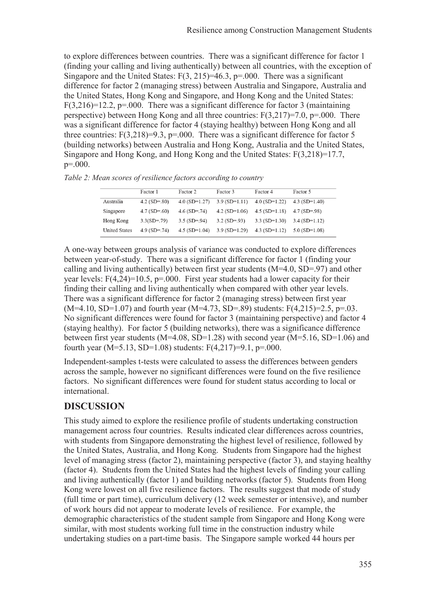to explore differences between countries. There was a significant difference for factor 1 (finding your calling and living authentically) between all countries, with the exception of Singapore and the United States:  $F(3, 215)=46.3$ ,  $p=.000$ . There was a significant difference for factor 2 (managing stress) between Australia and Singapore, Australia and the United States, Hong Kong and Singapore, and Hong Kong and the United States:  $F(3,216)=12.2$ , p=.000. There was a significant difference for factor 3 (maintaining perspective) between Hong Kong and all three countries:  $F(3,217)=7.0$ ,  $p=.000$ . There was a significant difference for factor 4 (staying healthy) between Hong Kong and all three countries:  $F(3,218)=9.3$ ,  $p=.000$ . There was a significant difference for factor 5 (building networks) between Australia and Hong Kong, Australia and the United States, Singapore and Hong Kong, and Hong Kong and the United States: F(3,218)=17.7, p=.000.

|  | Table 2: Mean scores of resilience factors according to country |  |  |
|--|-----------------------------------------------------------------|--|--|
|  |                                                                 |  |  |

|                      | Factor 1       | Factor 2        | Factor 3                | Factor 4        | Factor 5        |
|----------------------|----------------|-----------------|-------------------------|-----------------|-----------------|
| Australia            | $4.2$ (SD=.80) | $4.0$ (SD=1.27) | $3.9(SD=1.11)$          | $4.0$ (SD=1.22) | $4.3$ (SD=1.40) |
| Singapore            | $4.7$ (SD=.60) | $4.6$ (SD=.74)  | $4.2$ (SD=1.06)         | $4.5$ (SD=1.18) | $4.7$ (SD=.98)  |
| Hong Kong            | $3.3(SD=.79)$  | $3.5$ (SD=.94)  | $3.2$ (SD=.93)          | $3.3(SD=1.30)$  | $3.4$ (SD=1.12) |
| <b>United States</b> | $4.9$ (SD=.74) | $4.5$ (SD=1.04) | $3.9 \text{ (SD=1.29)}$ | $4.3(SD=1.12)$  | $5.0$ (SD=1.08) |

A one-way between groups analysis of variance was conducted to explore differences between year-of-study. There was a significant difference for factor 1 (finding your calling and living authentically) between first year students (M=4.0, SD=.97) and other year levels:  $F(4,24)=10.5$ ,  $p=.000$ . First year students had a lower capacity for their finding their calling and living authentically when compared with other year levels. There was a significant difference for factor 2 (managing stress) between first year  $(M=4.10, SD=1.07)$  and fourth year  $(M=4.73, SD=89)$  students:  $F(4.215)=2.5, p=.03$ . No significant differences were found for factor 3 (maintaining perspective) and factor 4 (staying healthy). For factor 5 (building networks), there was a significance difference between first year students (M=4.08, SD=1.28) with second year (M=5.16, SD=1.06) and fourth year (M=5.13, SD=1.08) students:  $F(4,217)=9.1$ ,  $p=.000$ .

Independent-samples t-tests were calculated to assess the differences between genders across the sample, however no significant differences were found on the five resilience factors. No significant differences were found for student status according to local or international.

## **DISCUSSION**

This study aimed to explore the resilience profile of students undertaking construction management across four countries. Results indicated clear differences across countries, with students from Singapore demonstrating the highest level of resilience, followed by the United States, Australia, and Hong Kong. Students from Singapore had the highest level of managing stress (factor 2), maintaining perspective (factor 3), and staying healthy (factor 4). Students from the United States had the highest levels of finding your calling and living authentically (factor 1) and building networks (factor 5). Students from Hong Kong were lowest on all five resilience factors. The results suggest that mode of study (full time or part time), curriculum delivery (12 week semester or intensive), and number of work hours did not appear to moderate levels of resilience. For example, the demographic characteristics of the student sample from Singapore and Hong Kong were similar, with most students working full time in the construction industry while undertaking studies on a part-time basis. The Singapore sample worked 44 hours per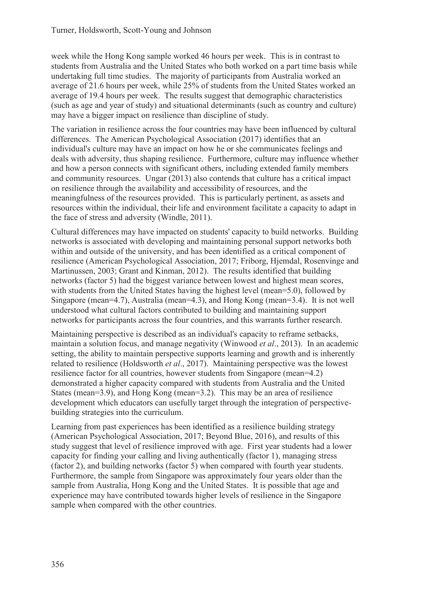week while the Hong Kong sample worked 46 hours per week. This is in contrast to students from Australia and the United States who both worked on a part time basis while undertaking full time studies. The majority of participants from Australia worked an average of 21.6 hours per week, while 25% of students from the United States worked an average of 19.4 hours per week. The results suggest that demographic characteristics (such as age and year of study) and situational determinants (such as country and culture) may have a bigger impact on resilience than discipline of study.

The variation in resilience across the four countries may have been influenced by cultural differences. The American Psychological Association (2017) identifies that an individual's culture may have an impact on how he or she communicates feelings and deals with adversity, thus shaping resilience. Furthermore, culture may influence whether and how a person connects with significant others, including extended family members and community resources. Ungar (2013) also contends that culture has a critical impact on resilience through the availability and accessibility of resources, and the meaningfulness of the resources provided. This is particularly pertinent, as assets and resources within the individual, their life and environment facilitate a capacity to adapt in the face of stress and adversity (Windle, 2011).

Cultural differences may have impacted on students' capacity to build networks. Building networks is associated with developing and maintaining personal support networks both within and outside of the university, and has been identified as a critical component of resilience (American Psychological Association, 2017; Friborg, Hjemdal, Rosenvinge and Martinussen, 2003; Grant and Kinman, 2012). The results identified that building networks (factor 5) had the biggest variance between lowest and highest mean scores, with students from the United States having the highest level (mean=5.0), followed by Singapore (mean=4.7), Australia (mean=4.3), and Hong Kong (mean=3.4). It is not well understood what cultural factors contributed to building and maintaining support networks for participants across the four countries, and this warrants further research.

Maintaining perspective is described as an individual's capacity to reframe setbacks, maintain a solution focus, and manage negativity (Winwood *et al*., 2013). In an academic setting, the ability to maintain perspective supports learning and growth and is inherently related to resilience (Holdsworth *et al*., 2017). Maintaining perspective was the lowest resilience factor for all countries, however students from Singapore (mean=4.2) demonstrated a higher capacity compared with students from Australia and the United States (mean=3.9), and Hong Kong (mean=3.2). This may be an area of resilience development which educators can usefully target through the integration of perspectivebuilding strategies into the curriculum.

Learning from past experiences has been identified as a resilience building strategy (American Psychological Association, 2017; Beyond Blue, 2016), and results of this study suggest that level of resilience improved with age. First year students had a lower capacity for finding your calling and living authentically (factor 1), managing stress (factor 2), and building networks (factor 5) when compared with fourth year students. Furthermore, the sample from Singapore was approximately four years older than the sample from Australia, Hong Kong and the United States. It is possible that age and experience may have contributed towards higher levels of resilience in the Singapore sample when compared with the other countries.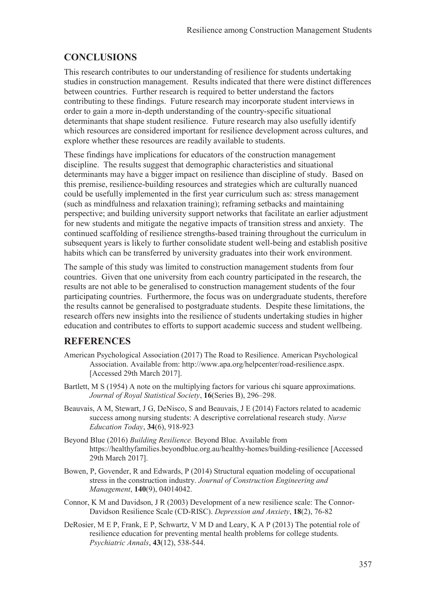## **CONCLUSIONS**

This research contributes to our understanding of resilience for students undertaking studies in construction management. Results indicated that there were distinct differences between countries. Further research is required to better understand the factors contributing to these findings. Future research may incorporate student interviews in order to gain a more in-depth understanding of the country-specific situational determinants that shape student resilience. Future research may also usefully identify which resources are considered important for resilience development across cultures, and explore whether these resources are readily available to students.

These findings have implications for educators of the construction management discipline. The results suggest that demographic characteristics and situational determinants may have a bigger impact on resilience than discipline of study. Based on this premise, resilience-building resources and strategies which are culturally nuanced could be usefully implemented in the first year curriculum such as: stress management (such as mindfulness and relaxation training); reframing setbacks and maintaining perspective; and building university support networks that facilitate an earlier adjustment for new students and mitigate the negative impacts of transition stress and anxiety. The continued scaffolding of resilience strengths-based training throughout the curriculum in subsequent years is likely to further consolidate student well-being and establish positive habits which can be transferred by university graduates into their work environment.

The sample of this study was limited to construction management students from four countries. Given that one university from each country participated in the research, the results are not able to be generalised to construction management students of the four participating countries. Furthermore, the focus was on undergraduate students, therefore the results cannot be generalised to postgraduate students. Despite these limitations, the research offers new insights into the resilience of students undertaking studies in higher education and contributes to efforts to support academic success and student wellbeing.

### **REFERENCES**

- American Psychological Association (2017) The Road to Resilience. American Psychological Association. Available from: http://www.apa.org/helpcenter/road-resilience.aspx. [Accessed 29th March 2017].
- Bartlett, M S (1954) A note on the multiplying factors for various chi square approximations. *Journal of Royal Statistical Society*, **16**(Series B), 296–298.
- Beauvais, A M, Stewart, J G, DeNisco, S and Beauvais, J E (2014) Factors related to academic success among nursing students: A descriptive correlational research study. *Nurse Education Today*, **34**(6), 918-923
- Beyond Blue (2016) *Building Resilience.* Beyond Blue. Available from https://healthyfamilies.beyondblue.org.au/healthy-homes/building-resilience [Accessed 29th March 2017].
- Bowen, P, Govender, R and Edwards, P (2014) Structural equation modeling of occupational stress in the construction industry. *Journal of Construction Engineering and Management*, **140**(9), 04014042.
- Connor, K M and Davidson, J R (2003) Development of a new resilience scale: The Connor-Davidson Resilience Scale (CD-RISC). *Depression and Anxiety*, **18**(2), 76-82
- DeRosier, M E P, Frank, E P, Schwartz, V M D and Leary, K A P (2013) The potential role of resilience education for preventing mental health problems for college students. *Psychiatric Annals*, **43**(12), 538-544.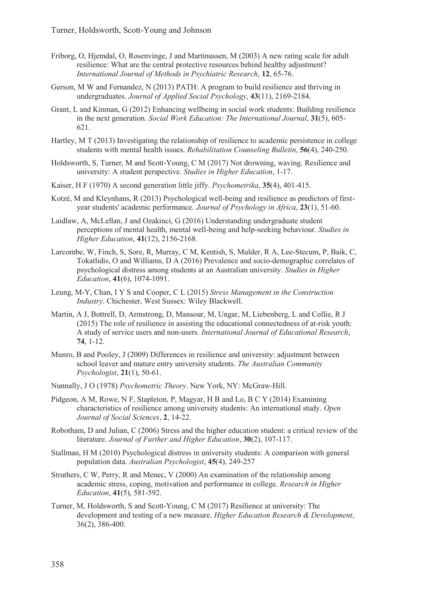- Friborg, O, Hjemdal, O, Rosenvinge, J and Martinussen, M (2003) A new rating scale for adult resilience: What are the central protective resources behind healthy adjustment? *International Journal of Methods in Psychiatric Research*, **12**, 65-76.
- Gerson, M W and Fernandez, N (2013) PATH: A program to build resilience and thriving in undergraduates. *Journal of Applied Social Psychology*, **43**(11), 2169-2184.
- Grant, L and Kinman, G (2012) Enhancing wellbeing in social work students: Building resilience in the next generation. *Social Work Education: The International Journal*, **31**(5), 605- 621.
- Hartley, M T (2013) Investigating the relationship of resilience to academic persistence in college students with mental health issues. *Rehabilitation Counseling Bulletin*, **56**(4), 240-250.
- Holdsworth, S, Turner, M and Scott-Young, C M (2017) Not drowning, waving. Resilience and university: A student perspective. *Studies in Higher Education*, 1-17.
- Kaiser, H F (1970) A second generation little jiffy. *Psychometrika*, **35**(4), 401-415.
- Kotzé, M and Kleynhans, R (2013) Psychological well-being and resilience as predictors of firstyear students' academic performance. *Journal of Psychology in Africa*, **23**(1), 51-60.
- Laidlaw, A, McLellan, J and Ozakinci, G (2016) Understanding undergraduate student perceptions of mental health, mental well-being and help-seeking behaviour. *Studies in Higher Education*, **41**(12), 2156-2168.
- Larcombe, W, Finch, S, Sore, R, Murray, C M, Kentish, S, Mulder, R A, Lee-Stecum, P, Baik, C, Tokatlidis, O and Williams, D A (2016) Prevalence and socio-demographic correlates of psychological distress among students at an Australian university. *Studies in Higher Education*, **41**(6), 1074-1091.
- Leung, M-Y, Chan, I Y S and Cooper, C L (2015) *Stress Management in the Construction Industry*. Chichester, West Sussex: Wiley Blackwell.
- Martin, A J, Bottrell, D, Armstrong, D, Mansour, M, Ungar, M, Liebenberg, L and Collie, R J (2015) The role of resilience in assisting the educational connectedness of at-risk youth: A study of service users and non-users. *International Journal of Educational Research*, **74**, 1-12.
- Munro, B and Pooley, J (2009) Differences in resilience and university: adjustment between school leaver and mature entry university students. *The Australian Community Psychologist*, **21**(1), 50-61.
- Nunnally, J O (1978) *Psychometric Theory*. New York, NY: McGraw-Hill.
- Pidgeon, A M, Rowe, N F, Stapleton, P, Magyar, H B and Lo, B C Y (2014) Examining characteristics of resilience among university students: An international study. *Open Journal of Social Sciences*, **2**, 14-22.
- Robotham, D and Julian, C (2006) Stress and the higher education student: a critical review of the literature. *Journal of Further and Higher Education*, **30**(2), 107-117.
- Stallman, H M (2010) Psychological distress in university students: A comparison with general population data. *Australian Psychologist*, **45**(4), 249-257
- Struthers, C W, Perry, R and Menec, V (2000) An examination of the relationship among academic stress, coping, motivation and performance in college. *Research in Higher Education*, **41**(5), 581-592.
- Turner, M, Holdsworth, S and Scott-Young, C M (2017) Resilience at university: The development and testing of a new measure. *Higher Education Research & Development*, 36(2), 386-400.